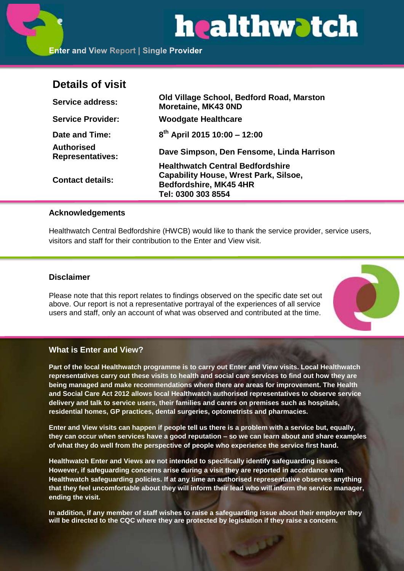# healthwatch

# **Details of visit**

| <b>Service address:</b>                      | Old Village School, Bedford Road, Marston<br>Moretaine, MK43 0ND              |
|----------------------------------------------|-------------------------------------------------------------------------------|
| <b>Service Provider:</b>                     | <b>Woodgate Healthcare</b>                                                    |
| Date and Time:                               | $8^{th}$ April 2015 10:00 - 12:00                                             |
| <b>Authorised</b><br><b>Representatives:</b> | Dave Simpson, Den Fensome, Linda Harrison                                     |
| <b>Contact details:</b>                      | <b>Healthwatch Central Bedfordshire</b>                                       |
|                                              | <b>Capability House, Wrest Park, Silsoe,</b><br><b>Bedfordshire, MK45 4HR</b> |
|                                              | Tel: 0300 303 8554                                                            |

# **Acknowledgements**

Healthwatch Central Bedfordshire (HWCB) would like to thank the service provider, service users, visitors and staff for their contribution to the Enter and View visit.

# **Disclaimer**

Please note that this report relates to findings observed on the specific date set out above. Our report is not a representative portrayal of the experiences of all service users and staff, only an account of what was observed and contributed at the time.



# **What is Enter and View?**

**Part of the local Healthwatch programme is to carry out Enter and View visits. Local Healthwatch representatives carry out these visits to health and social care services to find out how they are being managed and make recommendations where there are areas for improvement. The Health and Social Care Act 2012 allows local Healthwatch authorised representatives to observe service delivery and talk to service users, their families and carers on premises such as hospitals, residential homes, GP practices, dental surgeries, optometrists and pharmacies.** 

**Enter and View visits can happen if people tell us there is a problem with a service but, equally, they can occur when services have a good reputation – so we can learn about and share examples of what they do well from the perspective of people who experience the service first hand.**

**Healthwatch Enter and Views are not intended to specifically identify safeguarding issues. However, if safeguarding concerns arise during a visit they are reported in accordance with Healthwatch safeguarding policies. If at any time an authorised representative observes anything that they feel uncomfortable about they will inform their lead who will inform the service manager, ending the visit.** 

**In addition, if any member of staff wishes to raise a safeguarding issue about their employer they will be directed to the CQC where they are protected by legislation if they raise a concern.**

نو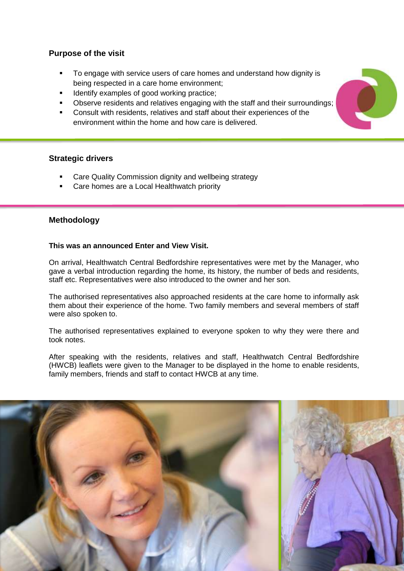# **Purpose of the visit**

- To engage with service users of care homes and understand how dignity is being respected in a care home environment;
- Identify examples of good working practice;
- Observe residents and relatives engaging with the staff and their surroundings;
- Consult with residents, relatives and staff about their experiences of the environment within the home and how care is delivered.

# **Strategic drivers**

- Care Quality Commission dignity and wellbeing strategy
- Care homes are a Local Healthwatch priority

# **Methodology**

# **This was an announced Enter and View Visit.**

On arrival, Healthwatch Central Bedfordshire representatives were met by the Manager, who gave a verbal introduction regarding the home, its history, the number of beds and residents, staff etc. Representatives were also introduced to the owner and her son.

The authorised representatives also approached residents at the care home to informally ask them about their experience of the home. Two family members and several members of staff were also spoken to.

The authorised representatives explained to everyone spoken to why they were there and took notes.

After speaking with the residents, relatives and staff, Healthwatch Central Bedfordshire (HWCB) leaflets were given to the Manager to be displayed in the home to enable residents, family members, friends and staff to contact HWCB at any time.



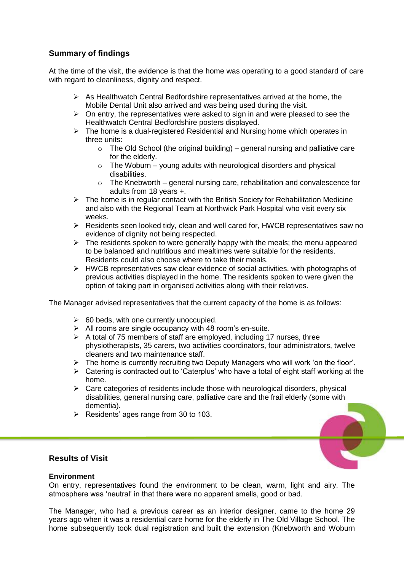# **Summary of findings**

At the time of the visit, the evidence is that the home was operating to a good standard of care with regard to cleanliness, dignity and respect.

- $\triangleright$  As Healthwatch Central Bedfordshire representatives arrived at the home, the Mobile Dental Unit also arrived and was being used during the visit.
- $\triangleright$  On entry, the representatives were asked to sign in and were pleased to see the Healthwatch Central Bedfordshire posters displayed.
- $\triangleright$  The home is a dual-registered Residential and Nursing home which operates in three units:
	- $\circ$  The Old School (the original building) general nursing and palliative care for the elderly.
	- $\circ$  The Woburn young adults with neurological disorders and physical disabilities.
	- o The Knebworth general nursing care, rehabilitation and convalescence for adults from 18 years +.
- $\triangleright$  The home is in regular contact with the British Society for Rehabilitation Medicine and also with the Regional Team at Northwick Park Hospital who visit every six weeks.
- $\triangleright$  Residents seen looked tidy, clean and well cared for, HWCB representatives saw no evidence of dignity not being respected.
- $\triangleright$  The residents spoken to were generally happy with the meals; the menu appeared to be balanced and nutritious and mealtimes were suitable for the residents. Residents could also choose where to take their meals.
- $\triangleright$  HWCB representatives saw clear evidence of social activities, with photographs of previous activities displayed in the home. The residents spoken to were given the option of taking part in organised activities along with their relatives.

The Manager advised representatives that the current capacity of the home is as follows:

- $\geq$  60 beds, with one currently unoccupied.
- $\triangleright$  All rooms are single occupancy with 48 room's en-suite.
- $\triangleright$  A total of 75 members of staff are employed, including 17 nurses, three physiotherapists, 35 carers, two activities coordinators, four administrators, twelve cleaners and two maintenance staff.
- $\triangleright$  The home is currently recruiting two Deputy Managers who will work 'on the floor'.
- $\triangleright$  Catering is contracted out to 'Caterplus' who have a total of eight staff working at the home.
- $\triangleright$  Care categories of residents include those with neurological disorders, physical disabilities, general nursing care, palliative care and the frail elderly (some with dementia).
- $\triangleright$  Residents' ages range from 30 to 103.

# **Results of Visit**

#### **Environment**

On entry, representatives found the environment to be clean, warm, light and airy. The atmosphere was 'neutral' in that there were no apparent smells, good or bad.

The Manager, who had a previous career as an interior designer, came to the home 29 years ago when it was a residential care home for the elderly in The Old Village School. The home subsequently took dual registration and built the extension (Knebworth and Woburn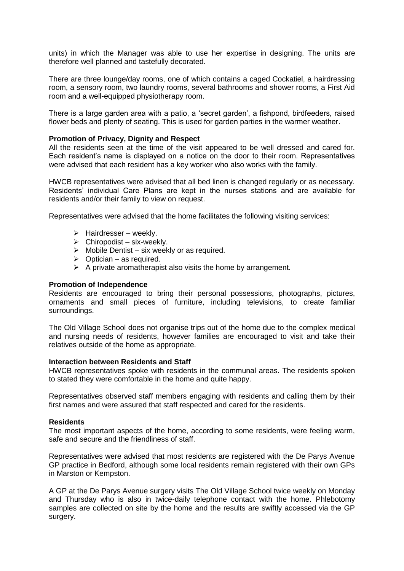units) in which the Manager was able to use her expertise in designing. The units are therefore well planned and tastefully decorated.

There are three lounge/day rooms, one of which contains a caged Cockatiel, a hairdressing room, a sensory room, two laundry rooms, several bathrooms and shower rooms, a First Aid room and a well-equipped physiotherapy room.

There is a large garden area with a patio, a 'secret garden', a fishpond, birdfeeders, raised flower beds and plenty of seating. This is used for garden parties in the warmer weather.

#### **Promotion of Privacy, Dignity and Respect**

All the residents seen at the time of the visit appeared to be well dressed and cared for. Each resident's name is displayed on a notice on the door to their room. Representatives were advised that each resident has a key worker who also works with the family.

HWCB representatives were advised that all bed linen is changed regularly or as necessary. Residents' individual Care Plans are kept in the nurses stations and are available for residents and/or their family to view on request.

Representatives were advised that the home facilitates the following visiting services:

- $\triangleright$  Hairdresser weekly.
- $\triangleright$  Chiropodist six-weekly.
- $\triangleright$  Mobile Dentist six weekly or as required.
- $\triangleright$  Optician as required.
- $\triangleright$  A private aromatherapist also visits the home by arrangement.

#### **Promotion of Independence**

Residents are encouraged to bring their personal possessions, photographs, pictures, ornaments and small pieces of furniture, including televisions, to create familiar surroundings.

The Old Village School does not organise trips out of the home due to the complex medical and nursing needs of residents, however families are encouraged to visit and take their relatives outside of the home as appropriate.

#### **Interaction between Residents and Staff**

HWCB representatives spoke with residents in the communal areas. The residents spoken to stated they were comfortable in the home and quite happy.

Representatives observed staff members engaging with residents and calling them by their first names and were assured that staff respected and cared for the residents.

#### **Residents**

The most important aspects of the home, according to some residents, were feeling warm, safe and secure and the friendliness of staff.

Representatives were advised that most residents are registered with the De Parys Avenue GP practice in Bedford, although some local residents remain registered with their own GPs in Marston or Kempston.

A GP at the De Parys Avenue surgery visits The Old Village School twice weekly on Monday and Thursday who is also in twice-daily telephone contact with the home. Phlebotomy samples are collected on site by the home and the results are swiftly accessed via the GP surgery.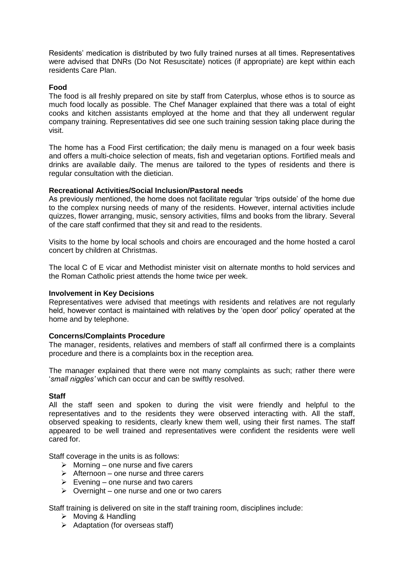Residents' medication is distributed by two fully trained nurses at all times. Representatives were advised that DNRs (Do Not Resuscitate) notices (if appropriate) are kept within each residents Care Plan.

#### **Food**

The food is all freshly prepared on site by staff from Caterplus, whose ethos is to source as much food locally as possible. The Chef Manager explained that there was a total of eight cooks and kitchen assistants employed at the home and that they all underwent regular company training. Representatives did see one such training session taking place during the visit.

The home has a Food First certification; the daily menu is managed on a four week basis and offers a multi-choice selection of meats, fish and vegetarian options. Fortified meals and drinks are available daily. The menus are tailored to the types of residents and there is regular consultation with the dietician.

#### **Recreational Activities/Social Inclusion/Pastoral needs**

As previously mentioned, the home does not facilitate regular 'trips outside' of the home due to the complex nursing needs of many of the residents. However, internal activities include quizzes, flower arranging, music, sensory activities, films and books from the library. Several of the care staff confirmed that they sit and read to the residents.

Visits to the home by local schools and choirs are encouraged and the home hosted a carol concert by children at Christmas.

The local C of E vicar and Methodist minister visit on alternate months to hold services and the Roman Catholic priest attends the home twice per week.

#### **Involvement in Key Decisions**

Representatives were advised that meetings with residents and relatives are not regularly held, however contact is maintained with relatives by the 'open door' policy' operated at the home and by telephone.

#### **Concerns/Complaints Procedure**

The manager, residents, relatives and members of staff all confirmed there is a complaints procedure and there is a complaints box in the reception area.

The manager explained that there were not many complaints as such; rather there were '*small niggles'* which can occur and can be swiftly resolved.

#### **Staff**

All the staff seen and spoken to during the visit were friendly and helpful to the representatives and to the residents they were observed interacting with. All the staff, observed speaking to residents, clearly knew them well, using their first names. The staff appeared to be well trained and representatives were confident the residents were well cared for.

Staff coverage in the units is as follows:

- $\triangleright$  Morning one nurse and five carers
- $\triangleright$  Afternoon one nurse and three carers
- $\triangleright$  Evening one nurse and two carers
- $\triangleright$  Overnight one nurse and one or two carers

Staff training is delivered on site in the staff training room, disciplines include:

- $\triangleright$  Moving & Handling
- $\triangleright$  Adaptation (for overseas staff)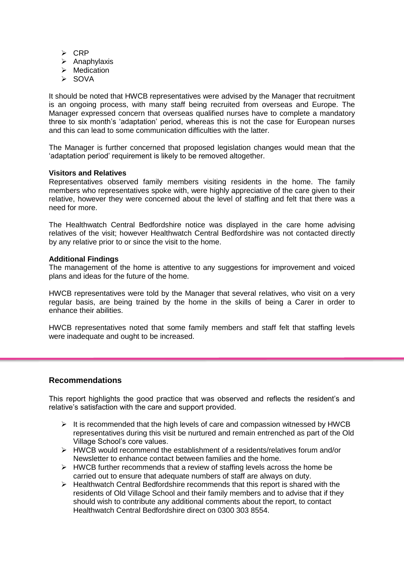- $\triangleright$  CRP
- $\triangleright$  Anaphylaxis
- $\triangleright$  Medication
- $\triangleright$  SOVA

It should be noted that HWCB representatives were advised by the Manager that recruitment is an ongoing process, with many staff being recruited from overseas and Europe. The Manager expressed concern that overseas qualified nurses have to complete a mandatory three to six month's 'adaptation' period, whereas this is not the case for European nurses and this can lead to some communication difficulties with the latter.

The Manager is further concerned that proposed legislation changes would mean that the 'adaptation period' requirement is likely to be removed altogether.

#### **Visitors and Relatives**

Representatives observed family members visiting residents in the home. The family members who representatives spoke with, were highly appreciative of the care given to their relative, however they were concerned about the level of staffing and felt that there was a need for more.

The Healthwatch Central Bedfordshire notice was displayed in the care home advising relatives of the visit; however Healthwatch Central Bedfordshire was not contacted directly by any relative prior to or since the visit to the home.

#### **Additional Findings**

The management of the home is attentive to any suggestions for improvement and voiced plans and ideas for the future of the home.

HWCB representatives were told by the Manager that several relatives, who visit on a very regular basis, are being trained by the home in the skills of being a Carer in order to enhance their abilities.

HWCB representatives noted that some family members and staff felt that staffing levels were inadequate and ought to be increased.

# **Recommendations**

This report highlights the good practice that was observed and reflects the resident's and relative's satisfaction with the care and support provided.

- $\triangleright$  It is recommended that the high levels of care and compassion witnessed by HWCB representatives during this visit be nurtured and remain entrenched as part of the Old Village School's core values.
- $\triangleright$  HWCB would recommend the establishment of a residents/relatives forum and/or Newsletter to enhance contact between families and the home.
- $\triangleright$  HWCB further recommends that a review of staffing levels across the home be carried out to ensure that adequate numbers of staff are always on duty.
- $\triangleright$  Healthwatch Central Bedfordshire recommends that this report is shared with the residents of Old Village School and their family members and to advise that if they should wish to contribute any additional comments about the report, to contact Healthwatch Central Bedfordshire direct on 0300 303 8554.